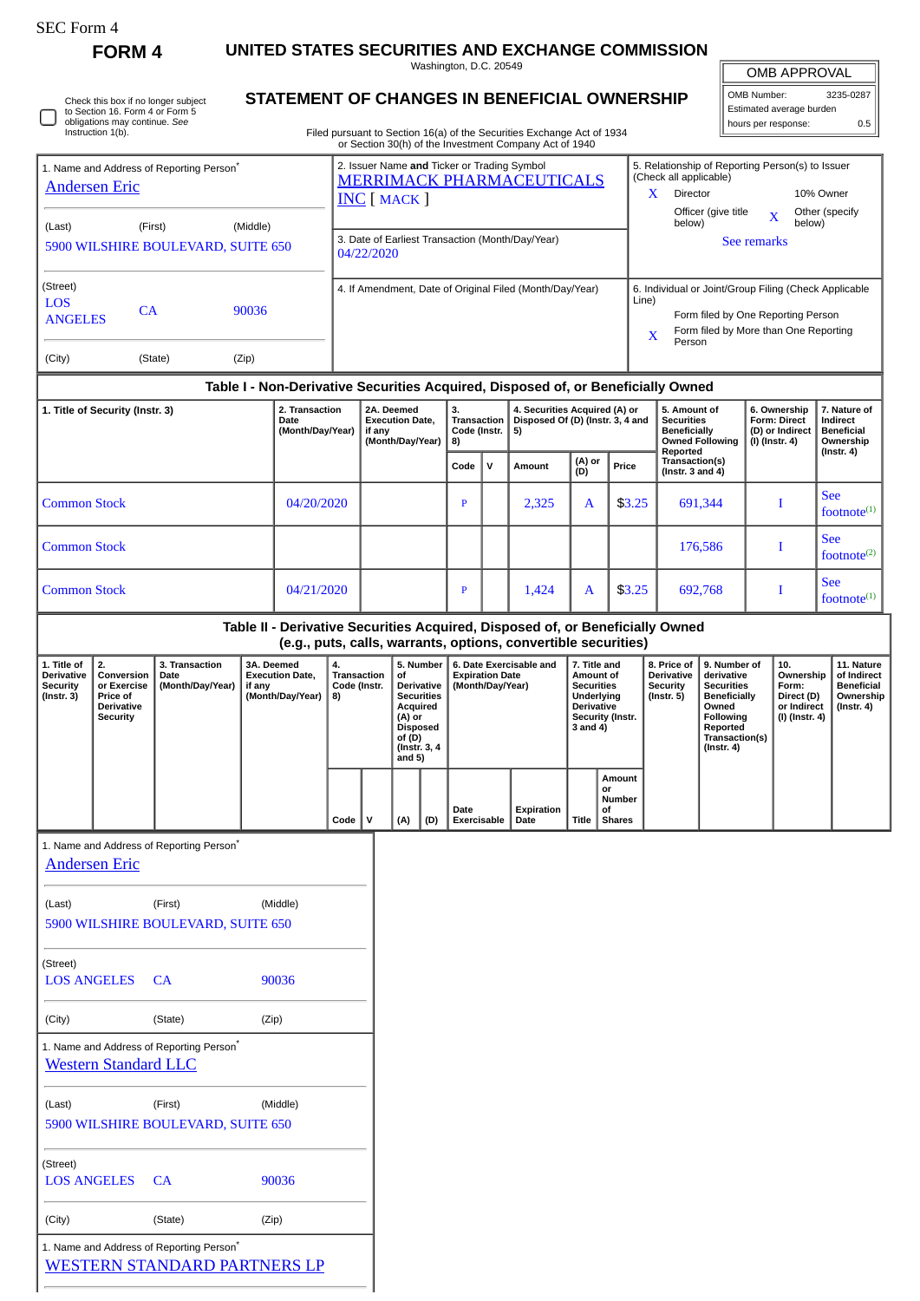| SEC Form - |
|------------|
|------------|

**FORM 4 UNITED STATES SECURITIES AND EXCHANGE COMMISSION**

Washington, D.C. 20549

## **STATEMENT OF CHANGES IN BENEFICIAL OWNERSHIP**

Filed pursuant to Section 16(a) of the Securities Exchange Act of 1934 or Section 30(h) of the Investment Company Act of 1940

| OMB APPROVAL |           |
|--------------|-----------|
| OMB Number:  | 3235-0287 |

| Estimated average burden |     |
|--------------------------|-----|
| hours per response:      | 0.5 |
|                          |     |

|                                                                               |                                                                               |                                                      |        |                                            |                                                                                                                                                                                                                                                       |                                                                |                                                |                                                                                                              |                                                                         |   | 01 Section Softly of the investment Company Act of 1940                                                                                         |                                                                                                                                                    |                                                             |                                                               |                                                                                                                                                                                     |                                                                     |                                                                   |                                                                          |                                                                   |                                |
|-------------------------------------------------------------------------------|-------------------------------------------------------------------------------|------------------------------------------------------|--------|--------------------------------------------|-------------------------------------------------------------------------------------------------------------------------------------------------------------------------------------------------------------------------------------------------------|----------------------------------------------------------------|------------------------------------------------|--------------------------------------------------------------------------------------------------------------|-------------------------------------------------------------------------|---|-------------------------------------------------------------------------------------------------------------------------------------------------|----------------------------------------------------------------------------------------------------------------------------------------------------|-------------------------------------------------------------|---------------------------------------------------------------|-------------------------------------------------------------------------------------------------------------------------------------------------------------------------------------|---------------------------------------------------------------------|-------------------------------------------------------------------|--------------------------------------------------------------------------|-------------------------------------------------------------------|--------------------------------|
| 1. Name and Address of Reporting Person <sup>®</sup><br><b>Andersen Eric</b>  |                                                                               |                                                      |        |                                            | 2. Issuer Name and Ticker or Trading Symbol<br>5. Relationship of Reporting Person(s) to Issuer<br>(Check all applicable)<br><b>MERRIMACK PHARMACEUTICALS</b><br>Director<br>10% Owner<br>X.<br>$INC$ $MACK$<br>Officer (give title<br>Other (specify |                                                                |                                                |                                                                                                              |                                                                         |   |                                                                                                                                                 |                                                                                                                                                    |                                                             |                                                               |                                                                                                                                                                                     |                                                                     |                                                                   |                                                                          |                                                                   |                                |
| (First)<br>(Middle)<br>(Last)<br>5900 WILSHIRE BOULEVARD, SUITE 650           |                                                                               |                                                      |        |                                            |                                                                                                                                                                                                                                                       | 3. Date of Earliest Transaction (Month/Day/Year)<br>04/22/2020 |                                                |                                                                                                              |                                                                         |   |                                                                                                                                                 |                                                                                                                                                    |                                                             |                                                               | below)                                                                                                                                                                              |                                                                     | See remarks                                                       | X<br>below)                                                              |                                                                   |                                |
| (Street)<br><b>LOS</b><br><b>ANGELES</b>                                      | CA                                                                            |                                                      | 90036  |                                            |                                                                                                                                                                                                                                                       | 4. If Amendment, Date of Original Filed (Month/Day/Year)       |                                                |                                                                                                              |                                                                         |   |                                                                                                                                                 | 6. Individual or Joint/Group Filing (Check Applicable<br>Line)<br>Form filed by One Reporting Person<br>Form filed by More than One Reporting<br>X |                                                             |                                                               |                                                                                                                                                                                     |                                                                     |                                                                   |                                                                          |                                                                   |                                |
| (City)                                                                        |                                                                               | (State)                                              | (Zip)  |                                            |                                                                                                                                                                                                                                                       |                                                                |                                                |                                                                                                              |                                                                         |   |                                                                                                                                                 |                                                                                                                                                    |                                                             |                                                               | Person                                                                                                                                                                              |                                                                     |                                                                   |                                                                          |                                                                   |                                |
|                                                                               |                                                                               |                                                      |        |                                            |                                                                                                                                                                                                                                                       |                                                                |                                                |                                                                                                              |                                                                         |   | Table I - Non-Derivative Securities Acquired, Disposed of, or Beneficially Owned                                                                |                                                                                                                                                    |                                                             |                                                               |                                                                                                                                                                                     |                                                                     |                                                                   |                                                                          |                                                                   |                                |
| 2. Transaction<br>1. Title of Security (Instr. 3)<br>Date<br>(Month/Day/Year) |                                                                               |                                                      |        |                                            | 2A. Deemed<br><b>Execution Date,</b><br>if any<br>(Month/Day/Year)                                                                                                                                                                                    |                                                                | З.<br><b>Transaction</b><br>Code (Instr.<br>8) |                                                                                                              | 4. Securities Acquired (A) or<br>Disposed Of (D) (Instr. 3, 4 and<br>5) |   |                                                                                                                                                 |                                                                                                                                                    | <b>Securities</b><br>Reported                               | 5. Amount of<br><b>Beneficially</b><br><b>Owned Following</b> |                                                                                                                                                                                     | 6. Ownership<br>Form: Direct<br>(D) or Indirect<br>$(I)$ (Instr. 4) |                                                                   | 7. Nature of<br>Indirect<br><b>Beneficial</b><br>Ownership<br>(Instr. 4) |                                                                   |                                |
|                                                                               |                                                                               |                                                      |        |                                            |                                                                                                                                                                                                                                                       |                                                                |                                                |                                                                                                              | Code                                                                    | v | Amount                                                                                                                                          | (A) or<br>(D)                                                                                                                                      | Price                                                       |                                                               | Transaction(s)<br>(Instr. $3$ and $4$ )                                                                                                                                             |                                                                     |                                                                   |                                                                          |                                                                   |                                |
| <b>Common Stock</b>                                                           |                                                                               |                                                      |        | 04/20/2020                                 |                                                                                                                                                                                                                                                       |                                                                |                                                |                                                                                                              | $\mathbf{P}$                                                            |   | 2,325                                                                                                                                           | A                                                                                                                                                  |                                                             | \$3.25                                                        | 691,344<br>$\bf I$                                                                                                                                                                  |                                                                     |                                                                   | <b>See</b>                                                               | footnote $(1)$                                                    |                                |
| <b>Common Stock</b>                                                           |                                                                               |                                                      |        |                                            |                                                                                                                                                                                                                                                       |                                                                |                                                |                                                                                                              |                                                                         |   |                                                                                                                                                 |                                                                                                                                                    |                                                             |                                                               | 176,586                                                                                                                                                                             |                                                                     |                                                                   | $\bf I$                                                                  |                                                                   | See<br>footnote <sup>(2)</sup> |
| <b>Common Stock</b>                                                           |                                                                               |                                                      |        | 04/21/2020                                 |                                                                                                                                                                                                                                                       |                                                                |                                                |                                                                                                              | P                                                                       |   | 1,424                                                                                                                                           | A                                                                                                                                                  |                                                             | \$3.25                                                        | 692,768                                                                                                                                                                             |                                                                     |                                                                   | I                                                                        | <b>See</b><br>footnote <sup>(1)</sup>                             |                                |
|                                                                               |                                                                               |                                                      |        |                                            |                                                                                                                                                                                                                                                       |                                                                |                                                |                                                                                                              |                                                                         |   | Table II - Derivative Securities Acquired, Disposed of, or Beneficially Owned<br>(e.g., puts, calls, warrants, options, convertible securities) |                                                                                                                                                    |                                                             |                                                               |                                                                                                                                                                                     |                                                                     |                                                                   |                                                                          |                                                                   |                                |
| 1. Title of                                                                   | 2.                                                                            | 3. Transaction                                       |        | 3A. Deemed                                 | 4.                                                                                                                                                                                                                                                    |                                                                |                                                | 5. Number                                                                                                    |                                                                         |   | 6. Date Exercisable and                                                                                                                         |                                                                                                                                                    | 7. Title and                                                |                                                               | 8. Price of                                                                                                                                                                         | 9. Number of                                                        |                                                                   | 10.                                                                      |                                                                   | 11. Nature                     |
| <b>Derivative</b><br><b>Security</b><br>$($ Instr. 3 $)$                      | Conversion<br>or Exercise<br>Price of<br><b>Derivative</b><br><b>Security</b> | Date<br>(Month/Day/Year)                             | if any | <b>Execution Date,</b><br>(Month/Day/Year) | <b>Transaction</b><br>Code (Instr.<br>8)                                                                                                                                                                                                              |                                                                | of                                             | Derivative<br><b>Securities</b><br>Acquired<br>(A) or<br><b>Disposed</b><br>of (D)<br>(Instr. 3, 4<br>and 5) | <b>Expiration Date</b><br>(Month/Day/Year)                              |   |                                                                                                                                                 | Amount of<br><b>Securities</b><br>Underlying<br>Derivative<br>Security (Instr.<br>3 and 4)                                                         |                                                             |                                                               | Derivative<br>derivative<br><b>Security</b><br><b>Securities</b><br>$($ Instr. 5 $)$<br><b>Beneficially</b><br>Owned<br>Following<br>Reported<br>Transaction(s)<br>$($ Instr. 4 $)$ |                                                                     | Ownership<br>Form:<br>Direct (D)<br>or Indirect<br>(I) (Instr. 4) |                                                                          | of Indirect<br><b>Beneficial</b><br>Ownership<br>$($ Instr. 4 $)$ |                                |
|                                                                               |                                                                               |                                                      |        |                                            | Code                                                                                                                                                                                                                                                  | v                                                              | (A)                                            | (D)                                                                                                          | Date<br><b>Exercisable</b>                                              |   | Expiration<br>Date                                                                                                                              | Title                                                                                                                                              | <b>Amount</b><br>or<br><b>Number</b><br>οf<br><b>Shares</b> |                                                               |                                                                                                                                                                                     |                                                                     |                                                                   |                                                                          |                                                                   |                                |
|                                                                               | <b>Andersen Eric</b>                                                          | 1. Name and Address of Reporting Person <sup>*</sup> |        |                                            |                                                                                                                                                                                                                                                       |                                                                |                                                |                                                                                                              |                                                                         |   |                                                                                                                                                 |                                                                                                                                                    |                                                             |                                                               |                                                                                                                                                                                     |                                                                     |                                                                   |                                                                          |                                                                   |                                |
| (Last)                                                                        |                                                                               | (First)<br>5900 WILSHIRE BOULEVARD, SUITE 650        |        | (Middle)                                   |                                                                                                                                                                                                                                                       |                                                                |                                                |                                                                                                              |                                                                         |   |                                                                                                                                                 |                                                                                                                                                    |                                                             |                                                               |                                                                                                                                                                                     |                                                                     |                                                                   |                                                                          |                                                                   |                                |
| (Street)<br><b>LOS ANGELES</b>                                                |                                                                               | CA                                                   |        | 90036                                      |                                                                                                                                                                                                                                                       |                                                                |                                                |                                                                                                              |                                                                         |   |                                                                                                                                                 |                                                                                                                                                    |                                                             |                                                               |                                                                                                                                                                                     |                                                                     |                                                                   |                                                                          |                                                                   |                                |
| (City)                                                                        |                                                                               | (State)                                              | (Zip)  |                                            |                                                                                                                                                                                                                                                       |                                                                |                                                |                                                                                                              |                                                                         |   |                                                                                                                                                 |                                                                                                                                                    |                                                             |                                                               |                                                                                                                                                                                     |                                                                     |                                                                   |                                                                          |                                                                   |                                |
|                                                                               | <b>Western Standard LLC</b>                                                   | 1. Name and Address of Reporting Person <sup>*</sup> |        |                                            |                                                                                                                                                                                                                                                       |                                                                |                                                |                                                                                                              |                                                                         |   |                                                                                                                                                 |                                                                                                                                                    |                                                             |                                                               |                                                                                                                                                                                     |                                                                     |                                                                   |                                                                          |                                                                   |                                |
| (Last)                                                                        |                                                                               | (First)<br>5900 WILSHIRE BOULEVARD, SUITE 650        |        | (Middle)                                   |                                                                                                                                                                                                                                                       |                                                                |                                                |                                                                                                              |                                                                         |   |                                                                                                                                                 |                                                                                                                                                    |                                                             |                                                               |                                                                                                                                                                                     |                                                                     |                                                                   |                                                                          |                                                                   |                                |
| (Street)<br><b>LOS ANGELES</b>                                                |                                                                               | CA                                                   |        | 90036                                      |                                                                                                                                                                                                                                                       |                                                                |                                                |                                                                                                              |                                                                         |   |                                                                                                                                                 |                                                                                                                                                    |                                                             |                                                               |                                                                                                                                                                                     |                                                                     |                                                                   |                                                                          |                                                                   |                                |

(City) (State) (Zip) 1. Name and Address of Reporting Person\*

[WESTERN STANDARD PARTNERS LP](http://www.sec.gov/cgi-bin/browse-edgar?action=getcompany&CIK=0001450414)